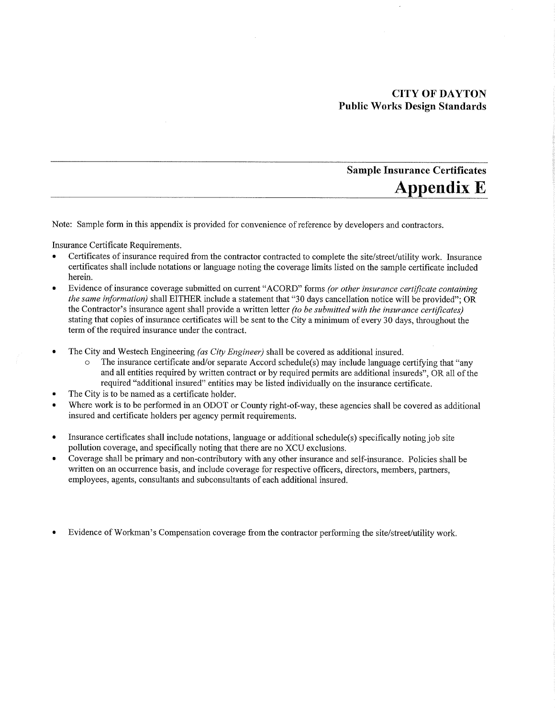## **CITY OF DAYTON Public Works Design Standards**

## **Sample Insurance Certificates AppendixE**

Note: Sample form in this appendix is provided for convenience of reference by developers and contractors.

Insurance Certificate Requirements.

- Certificates of insurance required from the contractor contracted to complete the site/street/utility work. Insurance certificates shall include notations or language noting the coverage limits listed on the sample certificate included herein.
- Evidence of insurance coverage submitted on current "ACORD" forms *(or other insurance certificate containing the same information)* shall EITHER include a statement that "30 days cancellation notice will be provided"; OR the Contractor's insurance agent shall provide a written letter *(to be submitted with the insurance certificates)*  stating that copies of insurance certificates will be sent to the City a minimum of every 30 days, throughout the term of the required insurance under the contract.
- The City and Westech Engineering *(as City Engineer)* shall be covered as additional insured.
	- o The insurance certificate and/or separate Accord schedule(s) may include language certifying that "any and all entities required by written contract or by required permits are additional insureds'', OR all of the required "additional insured" entities may be listed individually on the insurance certificate.
- The City is to be named as a certificate holder.
- Where work is to be performed in an ODOT or County right-of-way, these agencies shall be covered as additional insured and certificate holders per agency permit requirements.
- Insurance certificates shall include notations, language or additional schedule(s) specifically noting job site pollution coverage, and specifically noting that there are no XCU exclusions.
- Coverage shall be primary and non-contributory with any other insurance and self-insurance. Policies shall be written on an occurrence basis, and include coverage for respective officers, directors, members, partners, employees, agents, consultants and subconsultants of each additional insured.
- Evidence of Workman's Compensation coverage from the contractor performing the site/street/utility work.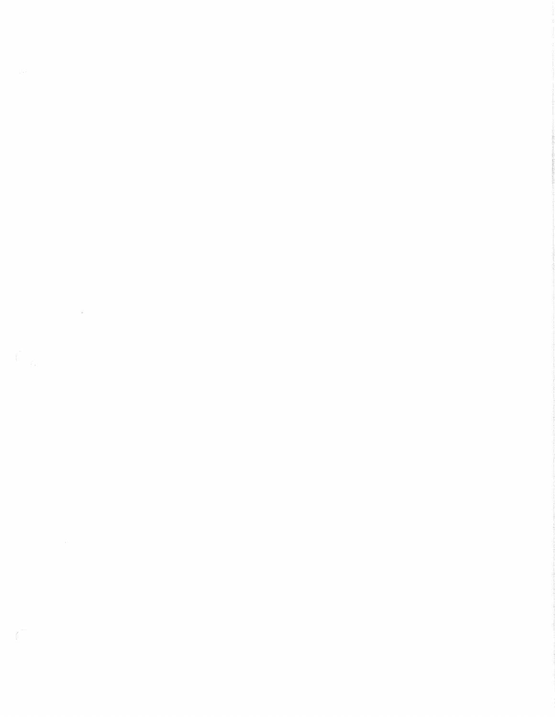$\label{eq:2.1} \frac{1}{\sqrt{2}}\int_{\mathbb{R}^3}\frac{1}{\sqrt{2}}\left(\frac{1}{\sqrt{2}}\right)^2\frac{1}{\sqrt{2}}\left(\frac{1}{\sqrt{2}}\right)^2\frac{1}{\sqrt{2}}\left(\frac{1}{\sqrt{2}}\right)^2\frac{1}{\sqrt{2}}\left(\frac{1}{\sqrt{2}}\right)^2\frac{1}{\sqrt{2}}\left(\frac{1}{\sqrt{2}}\right)^2\frac{1}{\sqrt{2}}\frac{1}{\sqrt{2}}\frac{1}{\sqrt{2}}\frac{1}{\sqrt{2}}\frac{1}{\sqrt{2}}\frac{1}{\sqrt{2}}$ 

 $\sqrt{2}$